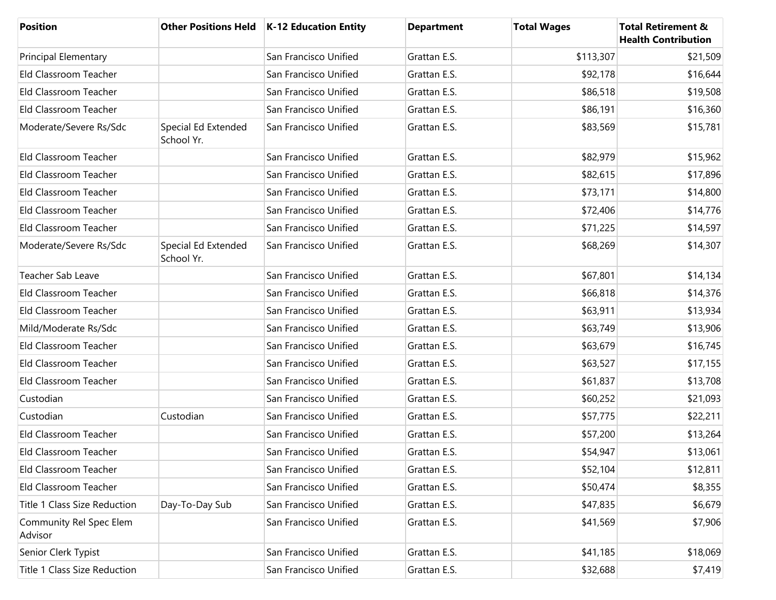| <b>Position</b>                    |                                   | Other Positions Held   K-12 Education Entity | <b>Department</b> | <b>Total Wages</b> | <b>Total Retirement &amp;</b><br><b>Health Contribution</b> |
|------------------------------------|-----------------------------------|----------------------------------------------|-------------------|--------------------|-------------------------------------------------------------|
| <b>Principal Elementary</b>        |                                   | San Francisco Unified                        | Grattan E.S.      | \$113,307          | \$21,509                                                    |
| Eld Classroom Teacher              |                                   | San Francisco Unified                        | Grattan E.S.      | \$92,178           | \$16,644                                                    |
| Eld Classroom Teacher              |                                   | San Francisco Unified                        | Grattan E.S.      | \$86,518           | \$19,508                                                    |
| Eld Classroom Teacher              |                                   | San Francisco Unified                        | Grattan E.S.      | \$86,191           | \$16,360                                                    |
| Moderate/Severe Rs/Sdc             | Special Ed Extended<br>School Yr. | San Francisco Unified                        | Grattan E.S.      | \$83,569           | \$15,781                                                    |
| Eld Classroom Teacher              |                                   | San Francisco Unified                        | Grattan E.S.      | \$82,979           | \$15,962                                                    |
| Eld Classroom Teacher              |                                   | San Francisco Unified                        | Grattan E.S.      | \$82,615           | \$17,896                                                    |
| Eld Classroom Teacher              |                                   | San Francisco Unified                        | Grattan E.S.      | \$73,171           | \$14,800                                                    |
| Eld Classroom Teacher              |                                   | San Francisco Unified                        | Grattan E.S.      | \$72,406           | \$14,776                                                    |
| Eld Classroom Teacher              |                                   | San Francisco Unified                        | Grattan E.S.      | \$71,225           | \$14,597                                                    |
| Moderate/Severe Rs/Sdc             | Special Ed Extended<br>School Yr. | San Francisco Unified                        | Grattan E.S.      | \$68,269           | \$14,307                                                    |
| Teacher Sab Leave                  |                                   | San Francisco Unified                        | Grattan E.S.      | \$67,801           | \$14,134                                                    |
| Eld Classroom Teacher              |                                   | San Francisco Unified                        | Grattan E.S.      | \$66,818           | \$14,376                                                    |
| Eld Classroom Teacher              |                                   | San Francisco Unified                        | Grattan E.S.      | \$63,911           | \$13,934                                                    |
| Mild/Moderate Rs/Sdc               |                                   | San Francisco Unified                        | Grattan E.S.      | \$63,749           | \$13,906                                                    |
| Eld Classroom Teacher              |                                   | San Francisco Unified                        | Grattan E.S.      | \$63,679           | \$16,745                                                    |
| Eld Classroom Teacher              |                                   | San Francisco Unified                        | Grattan E.S.      | \$63,527           | \$17,155                                                    |
| Eld Classroom Teacher              |                                   | San Francisco Unified                        | Grattan E.S.      | \$61,837           | \$13,708                                                    |
| Custodian                          |                                   | San Francisco Unified                        | Grattan E.S.      | \$60,252           | \$21,093                                                    |
| Custodian                          | Custodian                         | San Francisco Unified                        | Grattan E.S.      | \$57,775           | \$22,211                                                    |
| Eld Classroom Teacher              |                                   | San Francisco Unified                        | Grattan E.S.      | \$57,200           | \$13,264                                                    |
| Eld Classroom Teacher              |                                   | San Francisco Unified                        | Grattan E.S.      | \$54,947           | \$13,061                                                    |
| Eld Classroom Teacher              |                                   | San Francisco Unified                        | Grattan E.S.      | \$52,104           | \$12,811                                                    |
| Eld Classroom Teacher              |                                   | San Francisco Unified                        | Grattan E.S.      | \$50,474           | \$8,355                                                     |
| Title 1 Class Size Reduction       | Day-To-Day Sub                    | San Francisco Unified                        | Grattan E.S.      | \$47,835           | \$6,679                                                     |
| Community Rel Spec Elem<br>Advisor |                                   | San Francisco Unified                        | Grattan E.S.      | \$41,569           | \$7,906                                                     |
| Senior Clerk Typist                |                                   | San Francisco Unified                        | Grattan E.S.      | \$41,185           | \$18,069                                                    |
| Title 1 Class Size Reduction       |                                   | San Francisco Unified                        | Grattan E.S.      | \$32,688           | \$7,419                                                     |